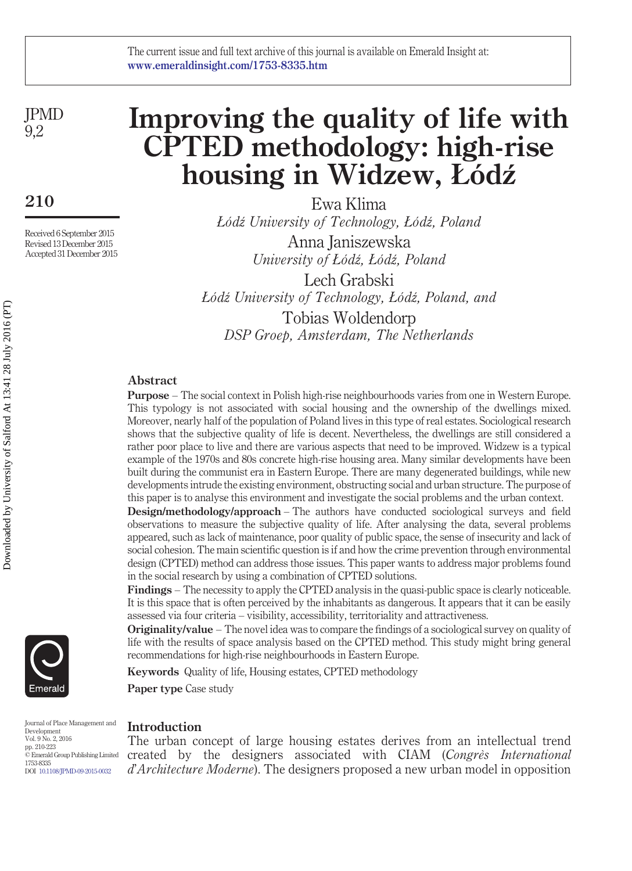JPMD 9,2

**210**

Received 6 September 2015 Revised 13 December 2015 Accepted 31 December 2015

# **Improving the quality of life with CPTED methodology: high-rise housing in Widzew, Łódź**

Ewa Klima *Łódź University of Technology, Łódź, Poland* Anna Janiszewska *University of Łódź, Łódź, Poland* Lech Grabski *Łódź University of Technology, Łódź, Poland, and* Tobias Woldendorp *DSP Groep, Amsterdam, The Netherlands*

## **Abstract**

**Purpose** – The social context in Polish high-rise neighbourhoods varies from one in Western Europe. This typology is not associated with social housing and the ownership of the dwellings mixed. Moreover, nearly half of the population of Poland lives in this type of real estates. Sociological research shows that the subjective quality of life is decent. Nevertheless, the dwellings are still considered a rather poor place to live and there are various aspects that need to be improved. Widzew is a typical example of the 1970s and 80s concrete high-rise housing area. Many similar developments have been built during the communist era in Eastern Europe. There are many degenerated buildings, while new developments intrude the existing environment, obstructing social and urban structure. The purpose of this paper is to analyse this environment and investigate the social problems and the urban context.

**Design/methodology/approach** – The authors have conducted sociological surveys and field observations to measure the subjective quality of life. After analysing the data, several problems appeared, such as lack of maintenance, poor quality of public space, the sense of insecurity and lack of social cohesion. The main scientific question is if and how the crime prevention through environmental design (CPTED) method can address those issues. This paper wants to address major problems found in the social research by using a combination of CPTED solutions.

**Findings** – The necessity to apply the CPTED analysis in the quasi-public space is clearly noticeable. It is this space that is often perceived by the inhabitants as dangerous. It appears that it can be easily assessed via four criteria – visibility, accessibility, territoriality and attractiveness.

**Originality/value** – The novel idea was to compare the findings of a sociological survey on quality of life with the results of space analysis based on the CPTED method. This study might bring general recommendations for high-rise neighbourhoods in Eastern Europe.

**Keywords** Quality of life, Housing estates, CPTED methodology

**Paper type** Case study

Journal of Place Management and Development Vol. 9 No. 2, 2016 pp. 210-223 © Emerald Group Publishing Limited 1753-8335 DOI [10.1108/JPMD-09-2015-0032](http://dx.doi.org/10.1108/JPMD-09-2015-0032)

## **Introduction**

The urban concept of large housing estates derives from an intellectual trend created by the designers associated with CIAM (*Congrès International d*'*Architecture Moderne*). The designers proposed a new urban model in opposition



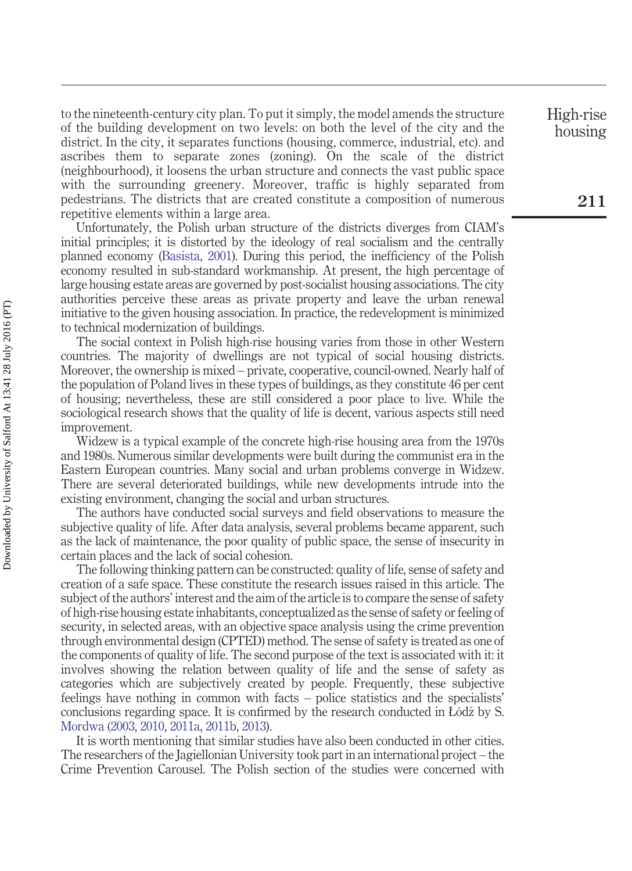to the nineteenth-century city plan. To put it simply, the model amends the structure of the building development on two levels: on both the level of the city and the district. In the city, it separates functions (housing, commerce, industrial, etc). and ascribes them to separate zones (zoning). On the scale of the district (neighbourhood), it loosens the urban structure and connects the vast public space with the surrounding greenery. Moreover, traffic is highly separated from pedestrians. The districts that are created constitute a composition of numerous repetitive elements within a large area.

Unfortunately, the Polish urban structure of the districts diverges from CIAM's initial principles; it is distorted by the ideology of real socialism and the centrally planned economy [\(Basista, 2001\)](#page-11-0). During this period, the inefficiency of the Polish economy resulted in sub-standard workmanship. At present, the high percentage of large housing estate areas are governed by post-socialist housing associations. The city authorities perceive these areas as private property and leave the urban renewal initiative to the given housing association. In practice, the redevelopment is minimized to technical modernization of buildings.

The social context in Polish high-rise housing varies from those in other Western countries. The majority of dwellings are not typical of social housing districts. Moreover, the ownership is mixed – private, cooperative, council-owned. Nearly half of the population of Poland lives in these types of buildings, as they constitute 46 per cent of housing; nevertheless, these are still considered a poor place to live. While the sociological research shows that the quality of life is decent, various aspects still need improvement.

Widzew is a typical example of the concrete high-rise housing area from the 1970s and 1980s. Numerous similar developments were built during the communist era in the Eastern European countries. Many social and urban problems converge in Widzew. There are several deteriorated buildings, while new developments intrude into the existing environment, changing the social and urban structures.

The authors have conducted social surveys and field observations to measure the subjective quality of life. After data analysis, several problems became apparent, such as the lack of maintenance, the poor quality of public space, the sense of insecurity in certain places and the lack of social cohesion.

The following thinking pattern can be constructed: quality of life, sense of safety and creation of a safe space. These constitute the research issues raised in this article. The subject of the authors' interest and the aim of the article is to compare the sense of safety of high-rise housing estate inhabitants, conceptualized as the sense of safety or feeling of security, in selected areas, with an objective space analysis using the crime prevention through environmental design (CPTED) method. The sense of safety is treated as one of the components of quality of life. The second purpose of the text is associated with it: it involves showing the relation between quality of life and the sense of safety as categories which are subjectively created by people. Frequently, these subjective feelings have nothing in common with facts – police statistics and the specialists' conclusions regarding space. It is confirmed by the research conducted in  $L\acute{o}d\acute{z}$  by S. [Mordwa \(2003,](#page-12-0) [2010,](#page-12-1) [2011a,](#page-12-2) [2011b,](#page-12-3) [2013\)](#page-12-4).

It is worth mentioning that similar studies have also been conducted in other cities. The researchers of the Jagiellonian University took part in an international project – the Crime Prevention Carousel. The Polish section of the studies were concerned with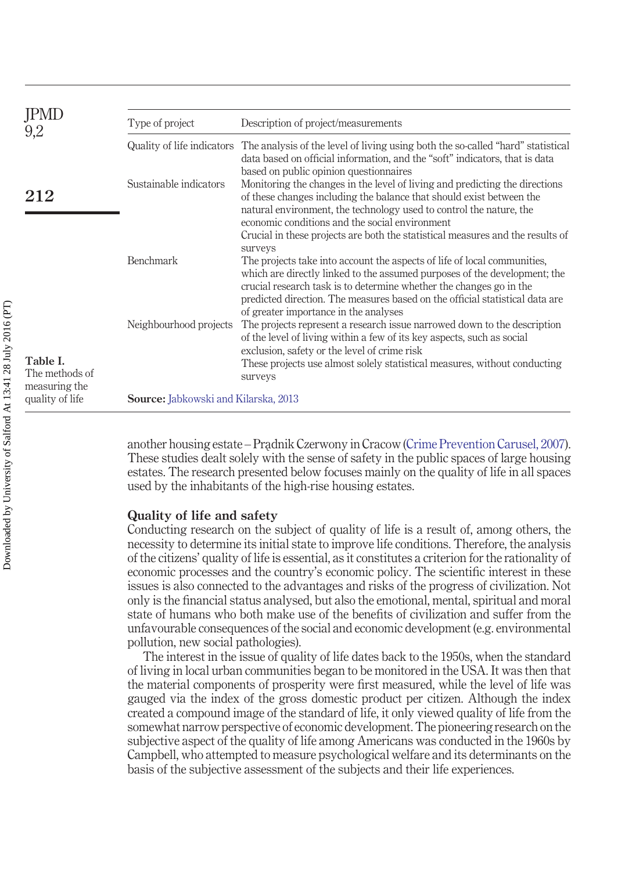<span id="page-2-0"></span>

| JPML                                        | Type of project                             | Description of project/measurements                                                                                                                                                                                                                                                                          |
|---------------------------------------------|---------------------------------------------|--------------------------------------------------------------------------------------------------------------------------------------------------------------------------------------------------------------------------------------------------------------------------------------------------------------|
| 9,2                                         |                                             | Quality of life indicators The analysis of the level of living using both the so-called "hard" statistical<br>data based on official information, and the "soft" indicators, that is data                                                                                                                    |
| 212                                         | Sustainable indicators                      | based on public opinion questionnaires<br>Monitoring the changes in the level of living and predicting the directions<br>of these changes including the balance that should exist between the<br>natural environment, the technology used to control the nature, the                                         |
|                                             |                                             | economic conditions and the social environment<br>Crucial in these projects are both the statistical measures and the results of<br>surveys                                                                                                                                                                  |
|                                             | Benchmark                                   | The projects take into account the aspects of life of local communities,<br>which are directly linked to the assumed purposes of the development; the<br>crucial research task is to determine whether the changes go in the<br>predicted direction. The measures based on the official statistical data are |
|                                             | Neighbourhood projects                      | of greater importance in the analyses<br>The projects represent a research issue narrowed down to the description<br>of the level of living within a few of its key aspects, such as social<br>exclusion, safety or the level of crime risk                                                                  |
| Table I.<br>The methods of<br>measuring the |                                             | These projects use almost solely statistical measures, without conducting<br>surveys                                                                                                                                                                                                                         |
| quality of life                             | <b>Source:</b> Jabkowski and Kilarska, 2013 |                                                                                                                                                                                                                                                                                                              |

another housing estate – Pradnik Czerwony in Cracow [\(Crime Prevention Carusel, 2007\)](#page-11-1). These studies dealt solely with the sense of safety in the public spaces of large housing estates. The research presented below focuses mainly on the quality of life in all spaces used by the inhabitants of the high-rise housing estates.

## **Quality of life and safety**

Conducting research on the subject of quality of life is a result of, among others, the necessity to determine its initial state to improve life conditions. Therefore, the analysis of the citizens' quality of life is essential, as it constitutes a criterion for the rationality of economic processes and the country's economic policy. The scientific interest in these issues is also connected to the advantages and risks of the progress of civilization. Not only is the financial status analysed, but also the emotional, mental, spiritual and moral state of humans who both make use of the benefits of civilization and suffer from the unfavourable consequences of the social and economic development (e.g. environmental pollution, new social pathologies).

The interest in the issue of quality of life dates back to the 1950s, when the standard of living in local urban communities began to be monitored in the USA. It was then that the material components of prosperity were first measured, while the level of life was gauged via the index of the gross domestic product per citizen. Although the index created a compound image of the standard of life, it only viewed quality of life from the somewhat narrow perspective of economic development. The pioneering research on the subjective aspect of the quality of life among Americans was conducted in the 1960s by Campbell, who attempted to measure psychological welfare and its determinants on the basis of the subjective assessment of the subjects and their life experiences.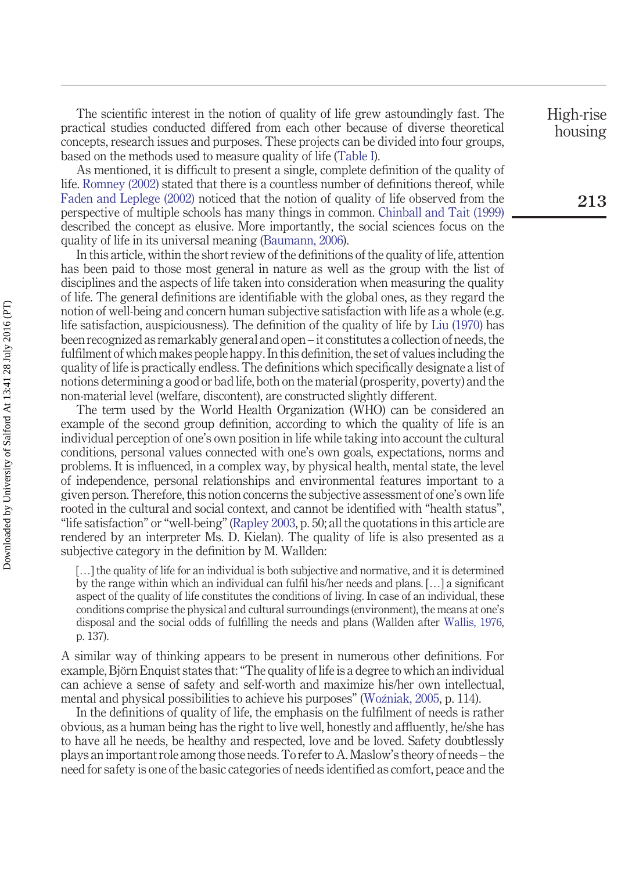The scientific interest in the notion of quality of life grew astoundingly fast. The practical studies conducted differed from each other because of diverse theoretical concepts, research issues and purposes. These projects can be divided into four groups, based on the methods used to measure quality of life [\(Table I\)](#page-2-0).

As mentioned, it is difficult to present a single, complete definition of the quality of life. [Romney \(2002\)](#page-12-5) stated that there is a countless number of definitions thereof, while [Faden and Leplege \(2002\)](#page-11-3) noticed that the notion of quality of life observed from the perspective of multiple schools has many things in common. [Chinball and Tait \(1999\)](#page-11-4) described the concept as elusive. More importantly, the social sciences focus on the quality of life in its universal meaning [\(Baumann, 2006\)](#page-11-5).

In this article, within the short review of the definitions of the quality of life, attention has been paid to those most general in nature as well as the group with the list of disciplines and the aspects of life taken into consideration when measuring the quality of life. The general definitions are identifiable with the global ones, as they regard the notion of well-being and concern human subjective satisfaction with life as a whole (e.g. life satisfaction, auspiciousness). The definition of the quality of life by [Liu \(1970\)](#page-11-6) has been recognized as remarkably general and open – it constitutes a collection of needs, the fulfilment of which makes people happy. In this definition, the set of values including the quality of life is practically endless. The definitions which specifically designate a list of notions determining a good or bad life, both on the material (prosperity, poverty) and the non-material level (welfare, discontent), are constructed slightly different.

The term used by the World Health Organization (WHO) can be considered an example of the second group definition, according to which the quality of life is an individual perception of one's own position in life while taking into account the cultural conditions, personal values connected with one's own goals, expectations, norms and problems. It is influenced, in a complex way, by physical health, mental state, the level of independence, personal relationships and environmental features important to a given person. Therefore, this notion concerns the subjective assessment of one's own life rooted in the cultural and social context, and cannot be identified with "health status", "life satisfaction" or "well-being" [\(Rapley 2003,](#page-12-6) p. 50; all the quotations in this article are rendered by an interpreter Ms. D. Kielan). The quality of life is also presented as a subjective category in the definition by M. Wallden:

[…] the quality of life for an individual is both subjective and normative, and it is determined by the range within which an individual can fulfil his/her needs and plans. […] a significant aspect of the quality of life constitutes the conditions of living. In case of an individual, these conditions comprise the physical and cultural surroundings (environment), the means at one's disposal and the social odds of fulfilling the needs and plans (Wallden after [Wallis, 1976,](#page-12-7) p. 137).

A similar way of thinking appears to be present in numerous other definitions. For example, Björn Enquist states that: "The quality of life is a degree to which an individual can achieve a sense of safety and self-worth and maximize his/her own intellectual, mental and physical possibilities to achieve his purposes" [\(Woźniak, 2005,](#page-12-8) p. 114).

In the definitions of quality of life, the emphasis on the fulfilment of needs is rather obvious, as a human being has the right to live well, honestly and affluently, he/she has to have all he needs, be healthy and respected, love and be loved. Safety doubtlessly plays an important role among those needs. To refer to A. Maslow's theory of needs – the need for safety is one of the basic categories of needs identified as comfort, peace and the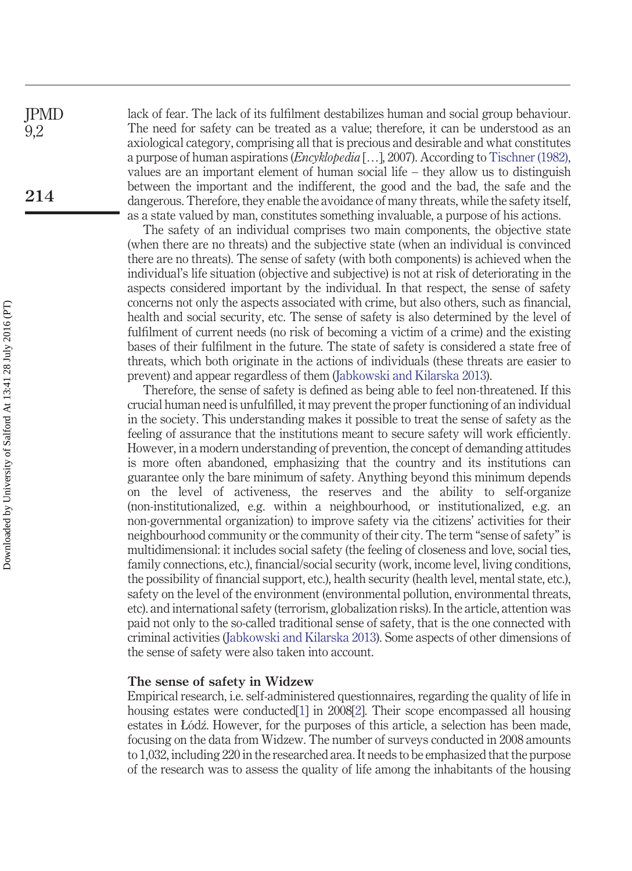lack of fear. The lack of its fulfilment destabilizes human and social group behaviour. The need for safety can be treated as a value; therefore, it can be understood as an axiological category, comprising all that is precious and desirable and what constitutes a purpose of human aspirations (*Encyklopedia* […], 2007). According to [Tischner \(1982\),](#page-12-9) values are an important element of human social life  $-$  they allow us to distinguish between the important and the indifferent, the good and the bad, the safe and the dangerous. Therefore, they enable the avoidance of many threats, while the safety itself, as a state valued by man, constitutes something invaluable, a purpose of his actions. JPMD **214**

> The safety of an individual comprises two main components, the objective state (when there are no threats) and the subjective state (when an individual is convinced there are no threats). The sense of safety (with both components) is achieved when the individual's life situation (objective and subjective) is not at risk of deteriorating in the aspects considered important by the individual. In that respect, the sense of safety concerns not only the aspects associated with crime, but also others, such as financial, health and social security, etc. The sense of safety is also determined by the level of fulfilment of current needs (no risk of becoming a victim of a crime) and the existing bases of their fulfilment in the future. The state of safety is considered a state free of threats, which both originate in the actions of individuals (these threats are easier to prevent) and appear regardless of them [\(Jabkowski and Kilarska 2013\)](#page-11-2).

> Therefore, the sense of safety is defined as being able to feel non-threatened. If this crucial human need is unfulfilled, it may prevent the proper functioning of an individual in the society. This understanding makes it possible to treat the sense of safety as the feeling of assurance that the institutions meant to secure safety will work efficiently. However, in a modern understanding of prevention, the concept of demanding attitudes is more often abandoned, emphasizing that the country and its institutions can guarantee only the bare minimum of safety. Anything beyond this minimum depends on the level of activeness, the reserves and the ability to self-organize (non-institutionalized, e.g. within a neighbourhood, or institutionalized, e.g. an non-governmental organization) to improve safety via the citizens' activities for their neighbourhood community or the community of their city. The term "sense of safety" is multidimensional: it includes social safety (the feeling of closeness and love, social ties, family connections, etc.), financial/social security (work, income level, living conditions, the possibility of financial support, etc.), health security (health level, mental state, etc.), safety on the level of the environment (environmental pollution, environmental threats, etc). and international safety (terrorism, globalization risks). In the article, attention was paid not only to the so-called traditional sense of safety, that is the one connected with criminal activities [\(Jabkowski and Kilarska 2013\)](#page-11-2). Some aspects of other dimensions of the sense of safety were also taken into account.

## **The sense of safety in Widzew**

Empirical research, i.e. self-administered questionnaires, regarding the quality of life in housing estates were conducted[\[1\]](#page-11-7) in 2008[\[2\]](#page-11-8). Their scope encompassed all housing estates in Łódź. However, for the purposes of this article, a selection has been made, focusing on the data from Widzew. The number of surveys conducted in 2008 amounts to 1,032, including 220 in the researched area. It needs to be emphasized that the purpose of the research was to assess the quality of life among the inhabitants of the housing

9,2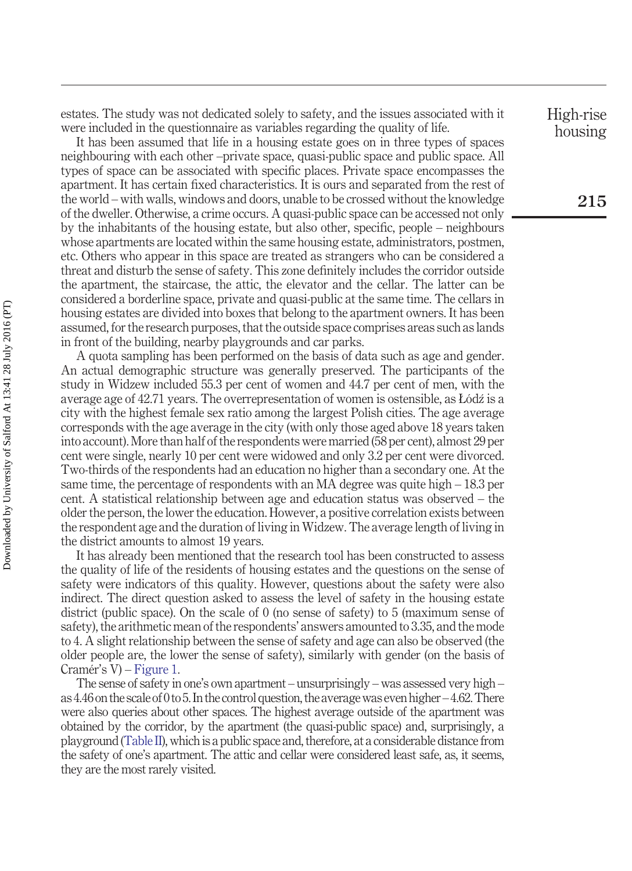estates. The study was not dedicated solely to safety, and the issues associated with it were included in the questionnaire as variables regarding the quality of life.

It has been assumed that life in a housing estate goes on in three types of spaces neighbouring with each other –private space, quasi-public space and public space. All types of space can be associated with specific places. Private space encompasses the apartment. It has certain fixed characteristics. It is ours and separated from the rest of the world – with walls, windows and doors, unable to be crossed without the knowledge of the dweller. Otherwise, a crime occurs. A quasi-public space can be accessed not only by the inhabitants of the housing estate, but also other, specific, people – neighbours whose apartments are located within the same housing estate, administrators, postmen, etc. Others who appear in this space are treated as strangers who can be considered a threat and disturb the sense of safety. This zone definitely includes the corridor outside the apartment, the staircase, the attic, the elevator and the cellar. The latter can be considered a borderline space, private and quasi-public at the same time. The cellars in housing estates are divided into boxes that belong to the apartment owners. It has been assumed, for the research purposes, that the outside space comprises areas such as lands in front of the building, nearby playgrounds and car parks.

A quota sampling has been performed on the basis of data such as age and gender. An actual demographic structure was generally preserved. The participants of the study in Widzew included 55.3 per cent of women and 44.7 per cent of men, with the average age of 42.71 years. The overrepresentation of women is ostensible, as Łódź is a city with the highest female sex ratio among the largest Polish cities. The age average corresponds with the age average in the city (with only those aged above 18 years taken into account). More than half of the respondents were married (58 per cent), almost 29 per cent were single, nearly 10 per cent were widowed and only 3.2 per cent were divorced. Two-thirds of the respondents had an education no higher than a secondary one. At the same time, the percentage of respondents with an MA degree was quite high – 18.3 per cent. A statistical relationship between age and education status was observed – the older the person, the lower the education. However, a positive correlation exists between the respondent age and the duration of living in Widzew. The average length of living in the district amounts to almost 19 years.

It has already been mentioned that the research tool has been constructed to assess the quality of life of the residents of housing estates and the questions on the sense of safety were indicators of this quality. However, questions about the safety were also indirect. The direct question asked to assess the level of safety in the housing estate district (public space). On the scale of 0 (no sense of safety) to 5 (maximum sense of safety), the arithmetic mean of the respondents' answers amounted to 3.35, and the mode to 4. A slight relationship between the sense of safety and age can also be observed (the older people are, the lower the sense of safety), similarly with gender (on the basis of Cramér's V) – [Figure 1.](#page-6-0)

The sense of safety in one's own apartment – unsurprisingly – was assessed very high – as 4.46 on the scale of 0 to 5. In the control question, the average was even higher – 4.62.There were also queries about other spaces. The highest average outside of the apartment was obtained by the corridor, by the apartment (the quasi-public space) and, surprisingly, a playground [\(Table II\)](#page-6-1), which is a public space and, therefore, at a considerable distance from the safety of one's apartment. The attic and cellar were considered least safe, as, it seems, they are the most rarely visited.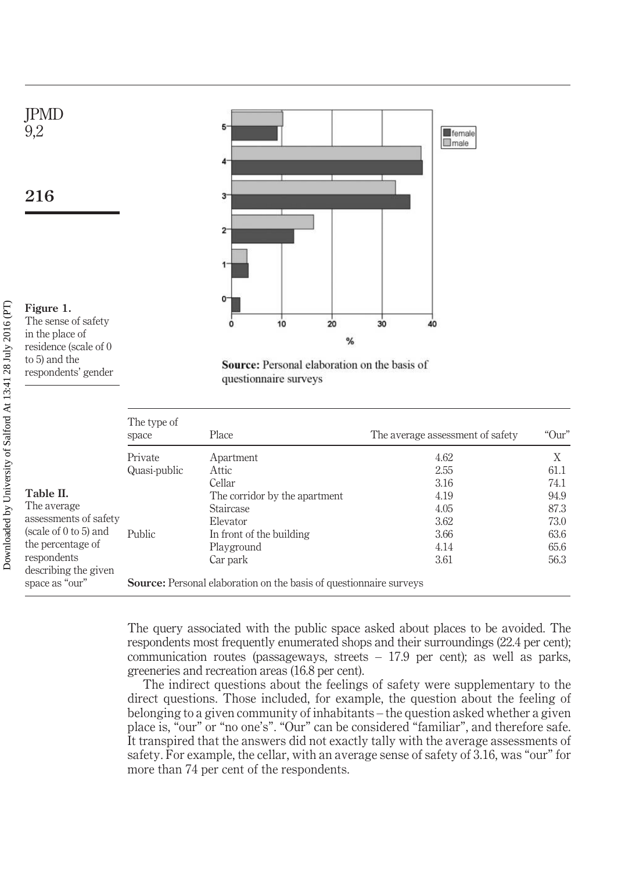

Source: Personal elaboration on the basis of questionnaire surveys

<span id="page-6-1"></span>

|                                            | The type of<br>space                                                      | Place                         | The average assessment of safety | "Our" |  |  |
|--------------------------------------------|---------------------------------------------------------------------------|-------------------------------|----------------------------------|-------|--|--|
|                                            | Private                                                                   | Apartment                     | 4.62                             |       |  |  |
|                                            | Quasi-public                                                              | Attic                         | 2.55                             | 61.1  |  |  |
|                                            |                                                                           | Cellar                        | 3.16                             | 74.1  |  |  |
| Table II.                                  |                                                                           | The corridor by the apartment | 4.19                             | 94.9  |  |  |
| The average                                |                                                                           | Staircase                     | 4.05                             | 87.3  |  |  |
| assessments of safety                      |                                                                           | Elevator                      | 3.62                             | 73.0  |  |  |
| (scale of 0 to 5) and<br>the percentage of | Public                                                                    | In front of the building      | 3.66                             | 63.6  |  |  |
|                                            |                                                                           | Playground                    | 4.14                             | 65.6  |  |  |
| respondents<br>describing the given        |                                                                           | Car park                      | 3.61                             | 56.3  |  |  |
| space as "our"                             | <b>Source:</b> Personal elaboration on the basis of questionnaire surveys |                               |                                  |       |  |  |

The query associated with the public space asked about places to be avoided. The respondents most frequently enumerated shops and their surroundings (22.4 per cent); communication routes (passageways, streets – 17.9 per cent); as well as parks, greeneries and recreation areas (16.8 per cent).

The indirect questions about the feelings of safety were supplementary to the direct questions. Those included, for example, the question about the feeling of belonging to a given community of inhabitants – the question asked whether a given place is, "our" or "no one's". "Our" can be considered "familiar", and therefore safe. It transpired that the answers did not exactly tally with the average assessments of safety. For example, the cellar, with an average sense of safety of 3.16, was "our" for more than 74 per cent of the respondents.

<span id="page-6-0"></span>respondents' gender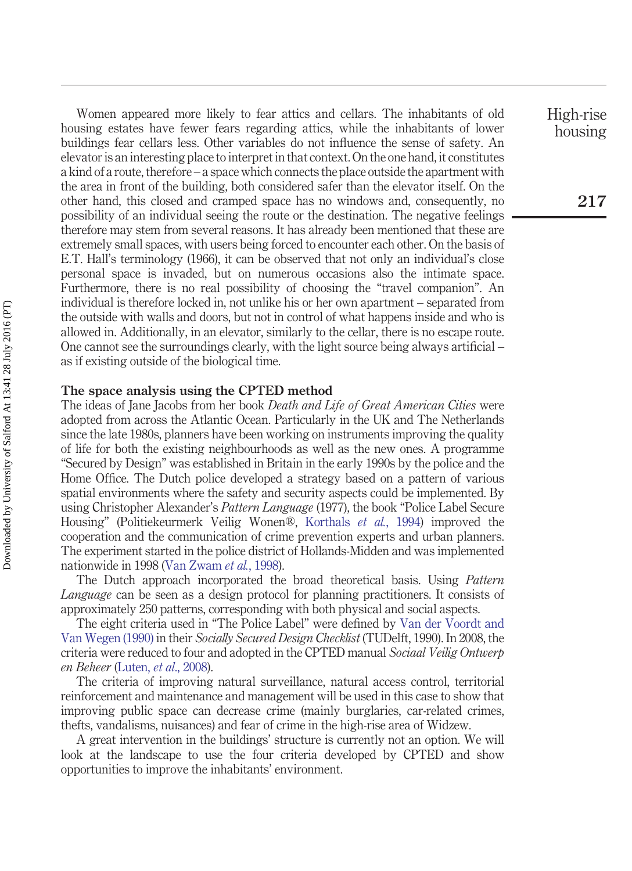Women appeared more likely to fear attics and cellars. The inhabitants of old housing estates have fewer fears regarding attics, while the inhabitants of lower buildings fear cellars less. Other variables do not influence the sense of safety. An elevator is an interesting place to interpret in that context. On the one hand, it constitutes a kind of a route, therefore – a space which connects the place outside the apartment with the area in front of the building, both considered safer than the elevator itself. On the other hand, this closed and cramped space has no windows and, consequently, no possibility of an individual seeing the route or the destination. The negative feelings therefore may stem from several reasons. It has already been mentioned that these are extremely small spaces, with users being forced to encounter each other. On the basis of E.T. Hall's terminology (1966), it can be observed that not only an individual's close personal space is invaded, but on numerous occasions also the intimate space. Furthermore, there is no real possibility of choosing the "travel companion". An individual is therefore locked in, not unlike his or her own apartment – separated from the outside with walls and doors, but not in control of what happens inside and who is allowed in. Additionally, in an elevator, similarly to the cellar, there is no escape route. One cannot see the surroundings clearly, with the light source being always artificial – as if existing outside of the biological time.

## **The space analysis using the CPTED method**

The ideas of Jane Jacobs from her book *Death and Life of Great American Cities* were adopted from across the Atlantic Ocean. Particularly in the UK and The Netherlands since the late 1980s, planners have been working on instruments improving the quality of life for both the existing neighbourhoods as well as the new ones. A programme "Secured by Design" was established in Britain in the early 1990s by the police and the Home Office. The Dutch police developed a strategy based on a pattern of various spatial environments where the safety and security aspects could be implemented. By using Christopher Alexander's *Pattern Language* (1977), the book "Police Label Secure Housing" (Politiekeurmerk Veilig Wonen®, [Korthals](#page-11-9) *et al.*, 1994) improved the cooperation and the communication of crime prevention experts and urban planners. The experiment started in the police district of Hollands-Midden and was implemented nationwide in 1998 [\(Van Zwam](#page-12-10) *et al.*, 1998).

The Dutch approach incorporated the broad theoretical basis. Using *Pattern Language* can be seen as a design protocol for planning practitioners. It consists of approximately 250 patterns, corresponding with both physical and social aspects.

The eight criteria used in "The Police Label" were defined by [Van der Voordt and](#page-12-11) [Van Wegen \(1990\)](#page-12-11) in their *Socially Secured Design Checklist* (TUDelft, 1990). In 2008, the criteria were reduced to four and adopted in the CPTED manual *Sociaal Veilig Ontwerp en Beheer* (Luten, *et al*[., 2008\)](#page-12-12).

The criteria of improving natural surveillance, natural access control, territorial reinforcement and maintenance and management will be used in this case to show that improving public space can decrease crime (mainly burglaries, car-related crimes, thefts, vandalisms, nuisances) and fear of crime in the high-rise area of Widzew.

A great intervention in the buildings' structure is currently not an option. We will look at the landscape to use the four criteria developed by CPTED and show opportunities to improve the inhabitants' environment.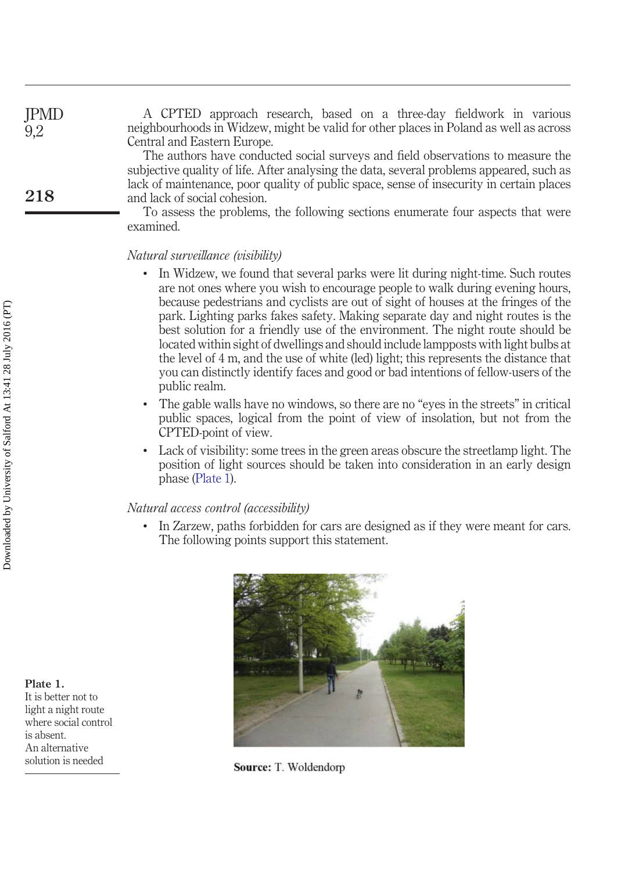| JPMD<br>9,2 | A CPTED approach research, based on a three-day fieldwork in various<br>neighbourhoods in Widzew, might be valid for other places in Poland as well as across<br>Central and Eastern Europe.                                                                                                                                                                                                           |
|-------------|--------------------------------------------------------------------------------------------------------------------------------------------------------------------------------------------------------------------------------------------------------------------------------------------------------------------------------------------------------------------------------------------------------|
| 218         | The authors have conducted social surveys and field observations to measure the<br>subjective quality of life. After analysing the data, several problems appeared, such as<br>lack of maintenance, poor quality of public space, sense of insecurity in certain places<br>and lack of social cohesion.<br>To assess the problems, the following sections enumerate four aspects that were<br>examined |

## *Natural surveillance (visibility)*

- In Widzew, we found that several parks were lit during night-time. Such routes are not ones where you wish to encourage people to walk during evening hours, because pedestrians and cyclists are out of sight of houses at the fringes of the park. Lighting parks fakes safety. Making separate day and night routes is the best solution for a friendly use of the environment. The night route should be located within sight of dwellings and should include lampposts with light bulbs at the level of 4 m, and the use of white (led) light; this represents the distance that you can distinctly identify faces and good or bad intentions of fellow-users of the public realm.
- The gable walls have no windows, so there are no "eyes in the streets" in critical public spaces, logical from the point of view of insolation, but not from the CPTED-point of view.
- Lack of visibility: some trees in the green areas obscure the streetlamp light. The position of light sources should be taken into consideration in an early design phase [\(Plate 1\)](#page-8-0).

## *Natural access control (accessibility)*

• In Zarzew, paths forbidden for cars are designed as if they were meant for cars. The following points support this statement.



Source: T. Woldendorp

<span id="page-8-0"></span>**Plate 1.** It is better not to light a night route where social control is absent. An alternative solution is needed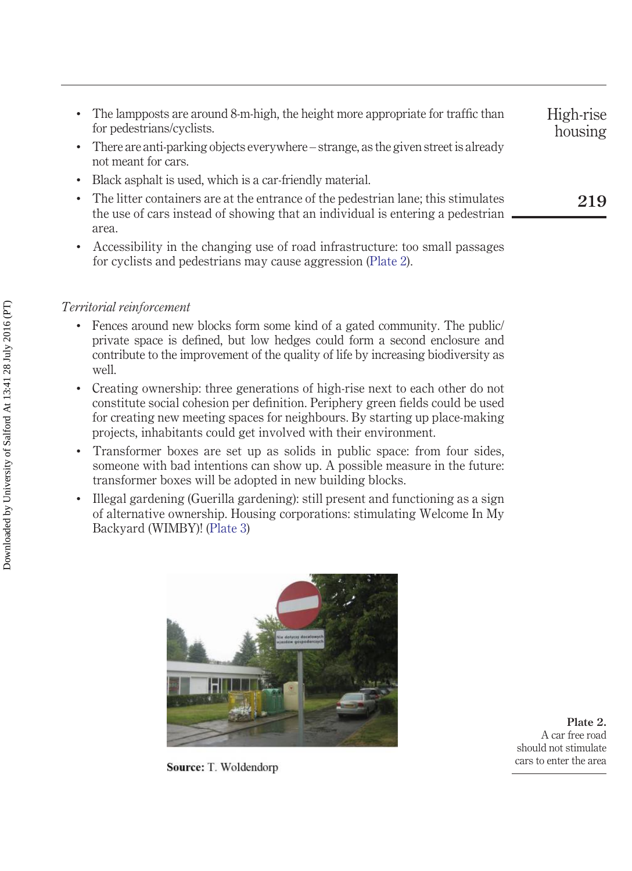| The lampposts are around 8-m-high, the height more appropriate for traffic than<br>for pedestrians/cyclists.<br>There are anti-parking objects everywhere – strange, as the given street is already<br>not meant for cars. | High-rise<br>housing |
|----------------------------------------------------------------------------------------------------------------------------------------------------------------------------------------------------------------------------|----------------------|
| Black as phalt is used, which is a car-friendly material.                                                                                                                                                                  |                      |
| • The litter containers are at the entrance of the pedestrian lane; this stimulates<br>the use of cars instead of showing that an individual is entering a pedestrian                                                      | 219                  |
| area.                                                                                                                                                                                                                      |                      |
| Accessibility in the changing use of road infrastructure: too small passages                                                                                                                                               |                      |

## *Territorial reinforcement*

• Fences around new blocks form some kind of a gated community. The public/ private space is defined, but low hedges could form a second enclosure and contribute to the improvement of the quality of life by increasing biodiversity as well.

for cyclists and pedestrians may cause aggression [\(Plate 2\)](#page-9-0).

- Creating ownership: three generations of high-rise next to each other do not constitute social cohesion per definition. Periphery green fields could be used for creating new meeting spaces for neighbours. By starting up place-making projects, inhabitants could get involved with their environment.
- Transformer boxes are set up as solids in public space: from four sides, someone with bad intentions can show up. A possible measure in the future: transformer boxes will be adopted in new building blocks.
- Illegal gardening (Guerilla gardening): still present and functioning as a sign of alternative ownership. Housing corporations: stimulating Welcome In My Backyard (WIMBY)! [\(Plate 3\)](#page-10-0)

<span id="page-9-0"></span>

**Source:** T. Woldendorp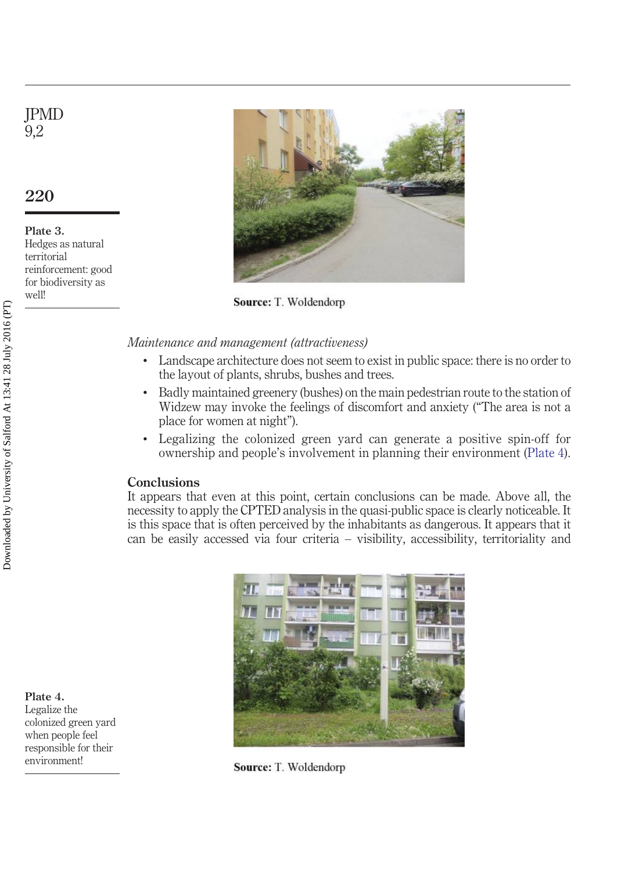# JPMD 9,2

## **220**

<span id="page-10-0"></span>**Plate 3.** Hedges as natural territorial reinforcement: good for biodiversity as well!



Source: T. Woldendorp

*Maintenance and management (attractiveness)*

- Landscape architecture does not seem to exist in public space: there is no order to the layout of plants, shrubs, bushes and trees.
- Badly maintained greenery (bushes) on the main pedestrian route to the station of Widzew may invoke the feelings of discomfort and anxiety ("The area is not a place for women at night").
- Legalizing the colonized green yard can generate a positive spin-off for ownership and people's involvement in planning their environment [\(Plate 4\)](#page-10-1).

## **Conclusions**

It appears that even at this point, certain conclusions can be made. Above all, the necessity to apply the CPTED analysis in the quasi-public space is clearly noticeable. It is this space that is often perceived by the inhabitants as dangerous. It appears that it can be easily accessed via four criteria – visibility, accessibility, territoriality and



Source: T. Woldendorp

<span id="page-10-1"></span>**Plate 4.** Legalize the colonized green yard when people feel responsible for their environment!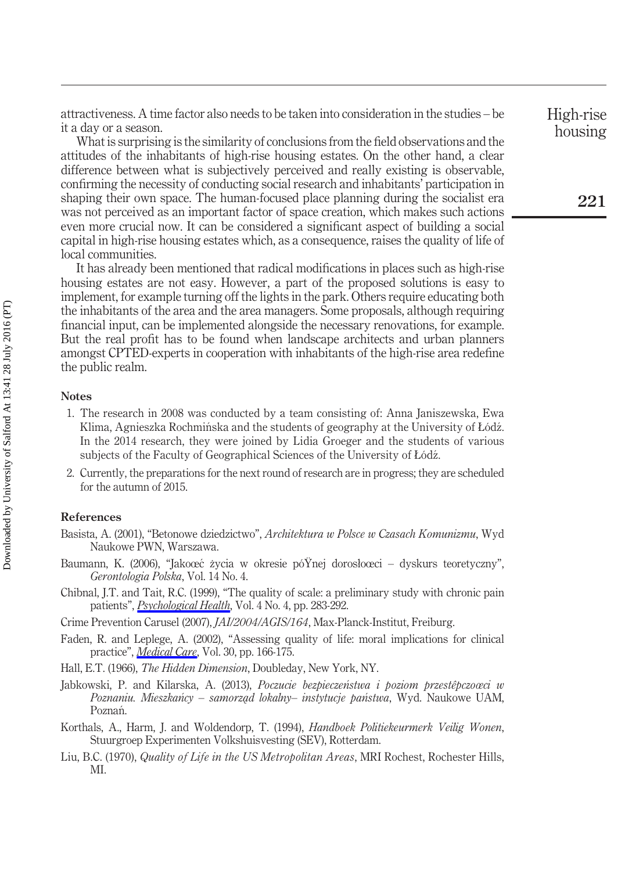attractiveness. A time factor also needs to be taken into consideration in the studies – be it a day or a season.

What is surprising is the similarity of conclusions from the field observations and the attitudes of the inhabitants of high-rise housing estates. On the other hand, a clear difference between what is subjectively perceived and really existing is observable, confirming the necessity of conducting social research and inhabitants' participation in shaping their own space. The human-focused place planning during the socialist era was not perceived as an important factor of space creation, which makes such actions even more crucial now. It can be considered a significant aspect of building a social capital in high-rise housing estates which, as a consequence, raises the quality of life of local communities.

It has already been mentioned that radical modifications in places such as high-rise housing estates are not easy. However, a part of the proposed solutions is easy to implement, for example turning off the lights in the park. Others require educating both the inhabitants of the area and the area managers. Some proposals, although requiring financial input, can be implemented alongside the necessary renovations, for example. But the real profit has to be found when landscape architects and urban planners amongst CPTED-experts in cooperation with inhabitants of the high-rise area redefine the public realm.

#### <span id="page-11-7"></span>**Notes**

- 1. The research in 2008 was conducted by a team consisting of: Anna Janiszewska, Ewa Klima, Agnieszka Rochmińska and the students of geography at the University of Łódź. In the 2014 research, they were joined by Lidia Groeger and the students of various subjects of the Faculty of Geographical Sciences of the University of Łódź.
- <span id="page-11-8"></span>2. Currently, the preparations for the next round of research are in progress; they are scheduled for the autumn of 2015.

#### **References**

- <span id="page-11-0"></span>Basista, A. (2001), "Betonowe dziedzictwo", *Architektura w Polsce w Czasach Komunizmu*, Wyd Naukowe PWN, Warszawa.
- <span id="page-11-5"></span>Baumann, K. (2006), "Jakoœc zycia w okresie pó $\overline{Y}$ nej dorosłoœci – dyskurs teoretyczny", *Gerontologia Polska*, Vol. 14 No. 4.
- <span id="page-11-4"></span>Chibnal, J.T. and Tait, R.C. (1999), "The quality of scale: a preliminary study with chronic pain patients", *[Psychological Health](http://www.emeraldinsight.com/action/showLinks?crossref=10.1080%2F08870449008400397)*, Vol. 4 No. 4, pp. 283-292.

<span id="page-11-1"></span>Crime Prevention Carusel (2007), *JAI/2004/AGIS/164*, Max-Planck-Institut, Freiburg.

<span id="page-11-3"></span>Faden, R. and Leplege, A. (2002), "Assessing quality of life: moral implications for clinical practice", *[Medical Care](http://www.emeraldinsight.com/action/showLinks?crossref=10.1097%2F00003246-200204001-00010)*, Vol. 30, pp. 166-175.

Hall, E.T. (1966), *The Hidden Dimension*, Doubleday, New York, NY.

- <span id="page-11-2"></span>Jabkowski, P. and Kilarska, A. (2013), *Poczucie bezpieczenstwa i poziom przestêpczoœci w ´ Poznaniu. Mieszkancy – samorza ´ ˛d lokalny– instytucje panstwa ´* , Wyd. Naukowe UAM, Poznań.
- <span id="page-11-9"></span>Korthals, A., Harm, J. and Woldendorp, T. (1994), *Handboek Politiekeurmerk Veilig Wonen*, Stuurgroep Experimenten Volkshuisvesting (SEV), Rotterdam.
- <span id="page-11-6"></span>Liu, B.C. (1970), *Quality of Life in the US Metropolitan Areas*, MRI Rochest, Rochester Hills, MI.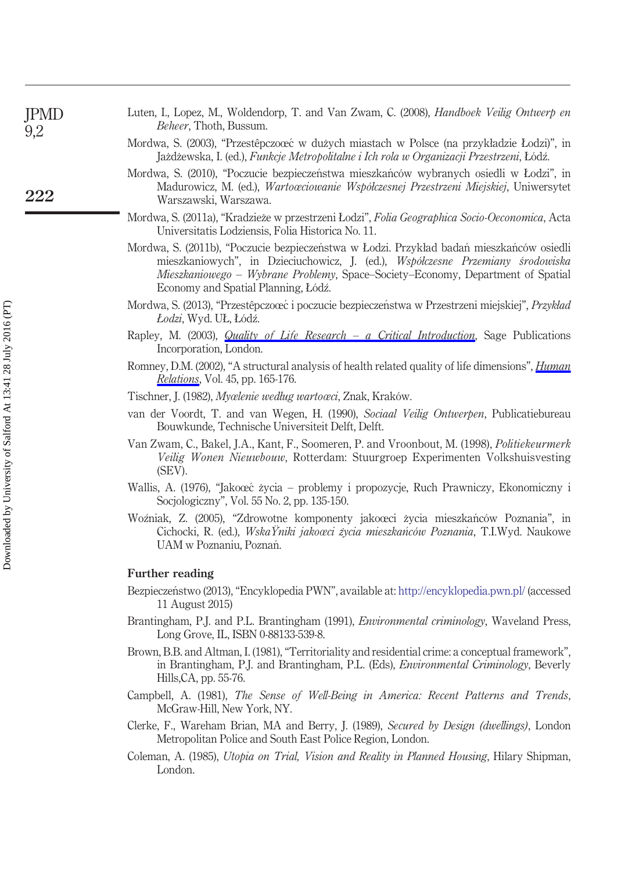<span id="page-12-12"></span><span id="page-12-2"></span><span id="page-12-1"></span><span id="page-12-0"></span>

| <b>IPMD</b><br>9,2 | Luten, I., Lopez, M., Woldendorp, T. and Van Zwam, C. (2008), Handboek Veilig Ontwerp en<br><i>Beheer</i> , Thoth, Bussum.                                                                                                                                                                           |
|--------------------|------------------------------------------------------------------------------------------------------------------------------------------------------------------------------------------------------------------------------------------------------------------------------------------------------|
|                    | Mordwa, S. (2003), "Przestêpczoœc w dużych miastach w Polsce (na przykładzie Łodzi)", in<br>Jażdżewska, I. (ed.), Funkcje Metropolitalne i Ich rola w Organizacji Przestrzeni, Łódź.                                                                                                                 |
| 222                | Mordwa, S. (2010), "Poczucie bezpieczeństwa mieszkańców wybranych osiedli w Łodzi", in<br>Madurowicz, M. (ed.), <i>Wartoœciowanie Współczesnej Przestrzeni Miejskiej</i> , Uniwersytet<br>Warszawski, Warszawa.                                                                                      |
|                    | Mordwa, S. (2011a), "Kradzieże w przestrzeni Łodzi", <i>Folia Geographica Socio-Oeconomica</i> , Acta<br>Universitatis Lodziensis, Folia Historica No. 11.                                                                                                                                           |
|                    | Mordwa, S. (2011b), "Poczucie bezpieczeństwa w Łodzi. Przykład badań mieszkańców osiedli<br>mieszkaniowych", in Dzieciuchowicz, J. (ed.), Współczesne Przemiany środowiska<br>Mieszkaniowego - Wybrane Problemy, Space-Society-Economy, Department of Spatial<br>Economy and Spatial Planning, Łódź. |
|                    | Mordwa, S. (2013), "Przestêpczoœć i poczucie bezpieczeństwa w Przestrzeni miejskiej", Przykład<br>Łodzi, Wyd. UŁ, Łódź.                                                                                                                                                                              |
|                    | Rapley, M. (2003), <i>Quality of Life Research – a Critical Introduction</i> , Sage Publications<br>Incorporation, London.                                                                                                                                                                           |
|                    | Romney, D.M. (2002), "A structural analysis of health related quality of life dimensions", <i>Human</i><br><i>Relations</i> , Vol. 45, pp. 165-176.                                                                                                                                                  |
|                    | Tischner, J. (1982), Myœlenie według wartoœci, Znak, Kraków.                                                                                                                                                                                                                                         |
|                    | van der Voordt, T. and van Wegen, H. (1990), Sociaal Veilig Ontwerpen, Publicatiebureau<br>Bouwkunde, Technische Universiteit Delft, Delft.                                                                                                                                                          |
|                    | Van Zwam, C., Bakel, J.A., Kant, F., Soomeren, P. and Vroonbout, M. (1998), <i>Politiekeurmerk</i><br><i>Veilig Wonen Nieuwbouw</i> , Rotterdam: Stuurgroep Experimenten Volkshuisvesting<br>(SEV).                                                                                                  |
|                    | Wallis, A. (1976), "Jakoœć życia – problemy i propozycje, Ruch Prawniczy, Ekonomiczny i                                                                                                                                                                                                              |

<span id="page-12-11"></span><span id="page-12-9"></span>Socjologiczny", Vol. 55 No. 2, pp. 135-150.

<span id="page-12-10"></span><span id="page-12-8"></span><span id="page-12-7"></span>Woźniak, Z. (2005), "Zdrowotne komponenty jakoœci życia mieszkańców Poznania", in Cichocki, R. (ed.), *WskaŸniki jakoœci z˙ycia mieszkanców Poznania ´* , T.I.Wyd. Naukowe UAM w Poznaniu, Poznan. ´

#### **Further reading**

<span id="page-12-6"></span><span id="page-12-5"></span><span id="page-12-4"></span><span id="page-12-3"></span>Downloaded by University of Salford At 13:41 28 July 2016 (PT) Downloaded by University of Salford At 13:41 28 July 2016 (PT)

- Bezpieczeństwo (2013), "Encyklopedia PWN", available at: <http://encyklopedia.pwn.pl/> (accessed 11 August 2015)
- Brantingham, P.J. and P.L. Brantingham (1991), *Environmental criminology*, Waveland Press, Long Grove, IL, ISBN 0-88133-539-8.
- Brown, B.B. and Altman, I. (1981), "Territoriality and residential crime: a conceptual framework", in Brantingham, P.J. and Brantingham, P.L. (Eds), *Environmental Criminology*, Beverly Hills,CA, pp. 55-76.
- Campbell, A. (1981), *The Sense of Well-Being in America: Recent Patterns and Trends*, McGraw-Hill, New York, NY.
- Clerke, F., Wareham Brian, MA and Berry, J. (1989), *Secured by Design (dwellings)*, London Metropolitan Police and South East Police Region, London.
- Coleman, A. (1985), *Utopia on Trial, Vision and Reality in Planned Housing*, Hilary Shipman, London.